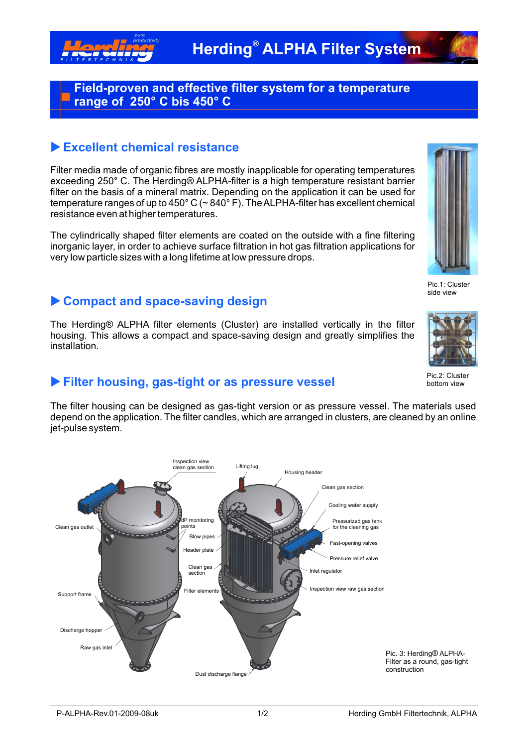

#### **Field-proven and effective filter system for a temperature range of 250° C bis 450° C**

### **Excellent chemical resistance**

Filter media made of organic fibres are mostly inapplicable for operating temperatures exceeding 250° C. The Herding® ALPHA-filter is a high temperature resistant barrier filter on the basis of a mineral matrix. Depending on the application it can be used for temperature ranges of up to 450° C (~ 840° F). The ALPHA-filter has excellent chemical resistance even at higher temperatures.

The cylindrically shaped filter elements are coated on the outside with a fine filtering inorganic layer, in order to achieve surface filtration in hot gas filtration applications for very low particle sizes with a long lifetime at low pressure drops.



Pic.1: Cluster side view

# u **Compact and space-saving design**

The Herding® ALPHA filter elements (Cluster) are installed vertically in the filter housing. This allows a compact and space-saving design and greatly simplifies the installation.



Pic.2: Cluster bottom view

### **Filter housing, gas-tight or as pressure vessel**

The filter housing can be designed as gas-tight version or as pressure vessel. The materials used depend on the application. The filter candles, which are arranged in clusters, are cleaned by an online jet-pulse system.